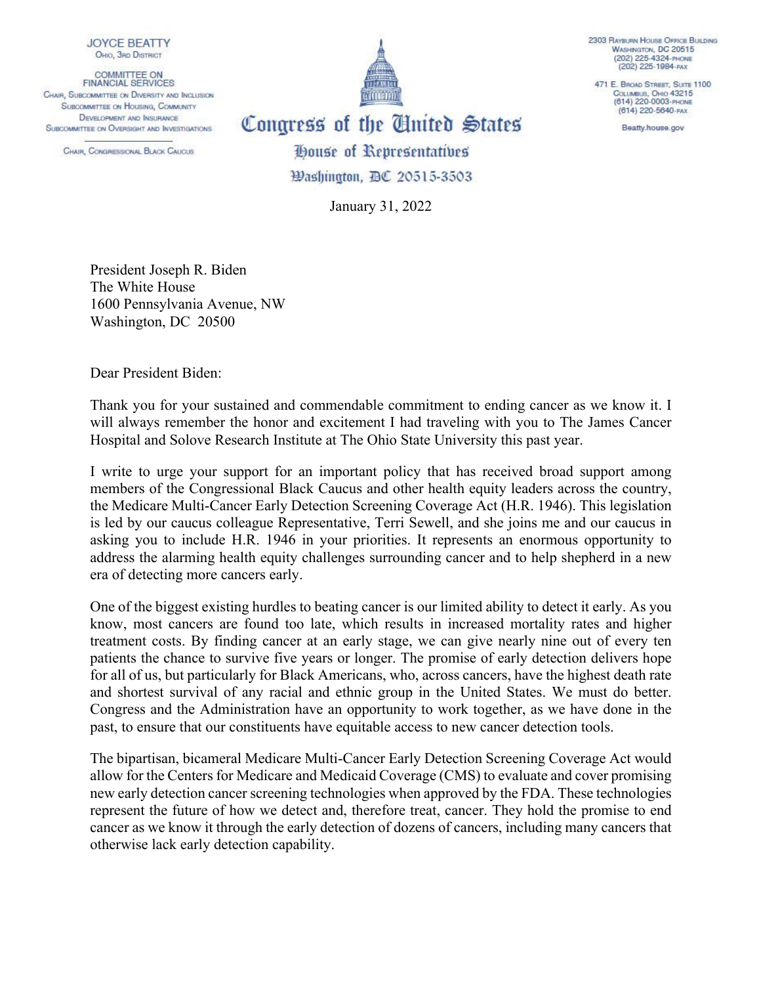

COMMITTEE ON<br>FINANCIAL SERVICES CHAIR, SUBCOMMITTEE ON DIVERSITY AND INCLUSION **SUBCOMMITTEE ON HOUSING, COMMUNITY DEVELOPMENT AND INSURANCE** SUBCOMMITTEE ON OVERSIGHT AND INVESTIGATIONS

CHAIR, CONGRESSIONAL BLACK CAUCUS.



2303 RAYBURN HOUSE OFFICE BUILDING WASHINGTON, DC 20515 (202) 225-4324-PHONE (202) 225-1984-FAX

471 E. BROAD STREET, SUITE 1100 COLUMBUS, OHIO 43215<br>(614) 220-0003-PHONE (614) 220-5640-FAX

Beatty.house.gov

Congress of the United States House of Representatives

923 ashington, BC 20515-3503

January 31, 2022

President Joseph R. Biden The White House 1600 Pennsylvania Avenue, NW Washington, DC 20500

Dear President Biden:

Thank you for your sustained and commendable commitment to ending cancer as we know it. I will always remember the honor and excitement I had traveling with you to The James Cancer Hospital and Solove Research Institute at The Ohio State University this past year.

I write to urge your support for an important policy that has received broad support among members of the Congressional Black Caucus and other health equity leaders across the country, the Medicare Multi-Cancer Early Detection Screening Coverage Act (H.R. 1946). This legislation is led by our caucus colleague Representative, Terri Sewell, and she joins me and our caucus in asking you to include H.R. 1946 in your priorities. It represents an enormous opportunity to address the alarming health equity challenges surrounding cancer and to help shepherd in a new era of detecting more cancers early.

One of the biggest existing hurdles to beating cancer is our limited ability to detect it early. As you know, most cancers are found too late, which results in increased mortality rates and higher treatment costs. By finding cancer at an early stage, we can give nearly nine out of every ten patients the chance to survive five years or longer. The promise of early detection delivers hope for all of us, but particularly for Black Americans, who, across cancers, have the highest death rate and shortest survival of any racial and ethnic group in the United States. We must do better. Congress and the Administration have an opportunity to work together, as we have done in the past, to ensure that our constituents have equitable access to new cancer detection tools.

The bipartisan, bicameral Medicare Multi-Cancer Early Detection Screening Coverage Act would allow for the Centers for Medicare and Medicaid Coverage (CMS) to evaluate and cover promising new early detection cancer screening technologies when approved by the FDA. These technologies represent the future of how we detect and, therefore treat, cancer. They hold the promise to end cancer as we know it through the early detection of dozens of cancers, including many cancers that otherwise lack early detection capability.